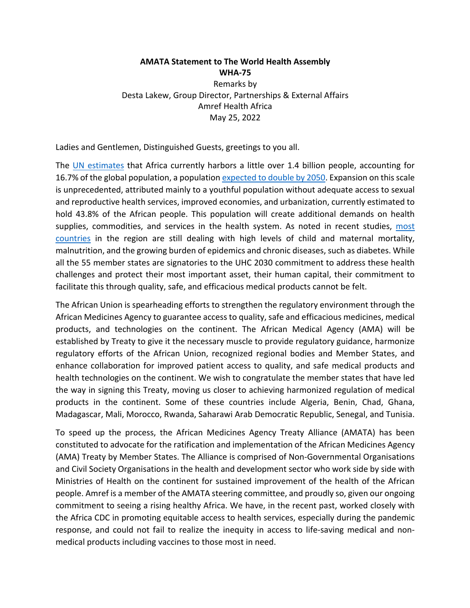**AMATA Statement to The World Health Assembly WHA-75** Remarks by Desta Lakew, Group Director, Partnerships & External Affairs Amref Health Africa May 25, 2022

Ladies and Gentlemen, Distinguished Guests, greetings to you all.

The UN estimates that Africa currently harbors a little over 1.4 billion people, accounting for 16.7% of the global population, a population expected to double by 2050. Expansion on this scale is unprecedented, attributed mainly to a youthful population without adequate access to sexual and reproductive health services, improved economies, and urbanization, currently estimated to hold 43.8% of the African people. This population will create additional demands on health supplies, commodities, and services in the health system. As noted in recent studies, most countries in the region are still dealing with high levels of child and maternal mortality, malnutrition, and the growing burden of epidemics and chronic diseases, such as diabetes. While all the 55 member states are signatories to the UHC 2030 commitment to address these health challenges and protect their most important asset, their human capital, their commitment to facilitate this through quality, safe, and efficacious medical products cannot be felt.

The African Union is spearheading efforts to strengthen the regulatory environment through the African Medicines Agency to guarantee access to quality, safe and efficacious medicines, medical products, and technologies on the continent. The African Medical Agency (AMA) will be established by Treaty to give it the necessary muscle to provide regulatory guidance, harmonize regulatory efforts of the African Union, recognized regional bodies and Member States, and enhance collaboration for improved patient access to quality, and safe medical products and health technologies on the continent. We wish to congratulate the member states that have led the way in signing this Treaty, moving us closer to achieving harmonized regulation of medical products in the continent. Some of these countries include Algeria, Benin, Chad, Ghana, Madagascar, Mali, Morocco, Rwanda, Saharawi Arab Democratic Republic, Senegal, and Tunisia.

To speed up the process, the African Medicines Agency Treaty Alliance (AMATA) has been constituted to advocate for the ratification and implementation of the African Medicines Agency (AMA) Treaty by Member States. The Alliance is comprised of Non-Governmental Organisations and Civil Society Organisations in the health and development sector who work side by side with Ministries of Health on the continent for sustained improvement of the health of the African people. Amref is a member of the AMATA steering committee, and proudly so, given our ongoing commitment to seeing a rising healthy Africa. We have, in the recent past, worked closely with the Africa CDC in promoting equitable access to health services, especially during the pandemic response, and could not fail to realize the inequity in access to life-saving medical and nonmedical products including vaccines to those most in need.